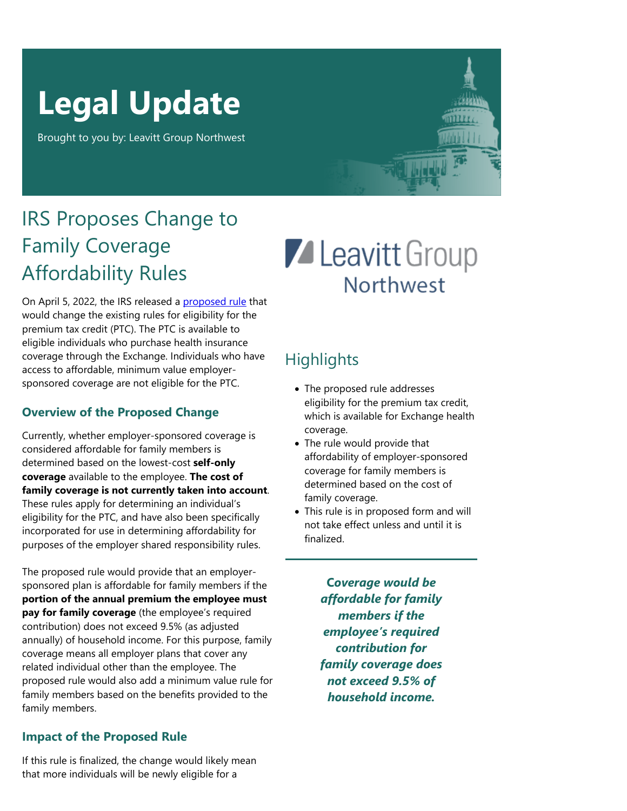# **Legal Update**

Brought to you by: Leavitt Group Northwest

## IRS Proposes Change to Family Coverage Affordability Rules

On April 5, 2022, the IRS released a [proposed rule](https://www.federalregister.gov/public-inspection/2022-07158/affordability-of-employer-coverage-for-family-members-of-employees) that would change the existing rules for eligibility for the premium tax credit (PTC). The PTC is available to eligible individuals who purchase health insurance coverage through the Exchange. Individuals who have access to affordable, minimum value employersponsored coverage are not eligible for the PTC.

#### **Overview of the Proposed Change**

Currently, whether employer-sponsored coverage is considered affordable for family members is determined based on the lowest-cost **self-only coverage** available to the employee. **The cost of family coverage is not currently taken into account**. These rules apply for determining an individual's eligibility for the PTC, and have also been specifically incorporated for use in determining affordability for purposes of the employer shared responsibility rules.

The proposed rule would provide that an employersponsored plan is affordable for family members if the **portion of the annual premium the employee must pay for family coverage** (the employee's required contribution) does not exceed 9.5% (as adjusted annually) of household income. For this purpose, family coverage means all employer plans that cover any related individual other than the employee. The proposed rule would also add a minimum value rule for family members based on the benefits provided to the family members.

#### **Impact of the Proposed Rule**

**Z** Leavitt Group **Northwest** 

### **Highlights**

- The proposed rule addresses eligibility for the premium tax credit, which is available for Exchange health coverage.
- The rule would provide that affordability of employer-sponsored coverage for family members is determined based on the cost of family coverage.
- This rule is in proposed form and will not take effect unless and until it is finalized.

**C***overage would be affordable for family members if the employee's required contribution for family coverage does not exceed 9.5% of household income.*

If this rule is finalized, the change would likely mean that more individuals will be newly eligible for a